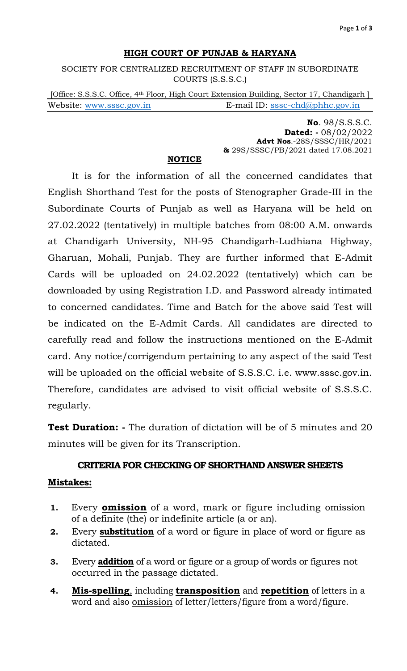### **HIGH COURT OF PUNJAB & HARYANA**

SOCIETY FOR CENTRALIZED RECRUITMENT OF STAFF IN SUBORDINATE COURTS (S.S.S.C.)

[Office: S.S.S.C. Office, 4<sup>th</sup> Floor, High Court Extension Building, Sector 17, Chandigarh ] Website: [www.sssc.gov.in](http://www.sssc.gov.in/) E-mail ID: [sssc-chd@phhc.gov.in](mailto:sssc-chd@phhc.gov.in)

> **No**. 98/S.S.S.C. **Dated: -** 08/02/2022 **Advt Nos**.-28S/SSSC/HR/2021 **&** 29S/SSSC/PB/2021 dated 17.08.2021

#### **NOTICE**

It is for the information of all the concerned candidates that English Shorthand Test for the posts of Stenographer Grade-III in the Subordinate Courts of Punjab as well as Haryana will be held on 27.02.2022 (tentatively) in multiple batches from 08:00 A.M. onwards at Chandigarh University, NH-95 Chandigarh-Ludhiana Highway, Gharuan, Mohali, Punjab. They are further informed that E-Admit Cards will be uploaded on 24.02.2022 (tentatively) which can be downloaded by using Registration I.D. and Password already intimated to concerned candidates. Time and Batch for the above said Test will be indicated on the E-Admit Cards. All candidates are directed to carefully read and follow the instructions mentioned on the E-Admit card. Any notice/corrigendum pertaining to any aspect of the said Test will be uploaded on the official website of S.S.S.C. i.e. www.sssc.gov.in. Therefore, candidates are advised to visit official website of S.S.S.C. regularly.

**Test Duration: -** The duration of dictation will be of 5 minutes and 20 minutes will be given for its Transcription.

# **CRITERIA FOR CHECKING OF SHORTHAND ANSWER SHEETS Mistakes:**

- **1.** Every **omission** of a word, mark or figure including omission of a definite (the) or indefinite article (a or an).
- **2.** Every **substitution** of a word or figure in place of word or figure as dictated.
- **3.** Every **addition** of a word or figure or a group of words or figures not occurred in the passage dictated.
- **4. Mis-spelling**, including **transposition** and **repetition** of letters in a word and also **omission** of letter/letters/figure from a word/figure.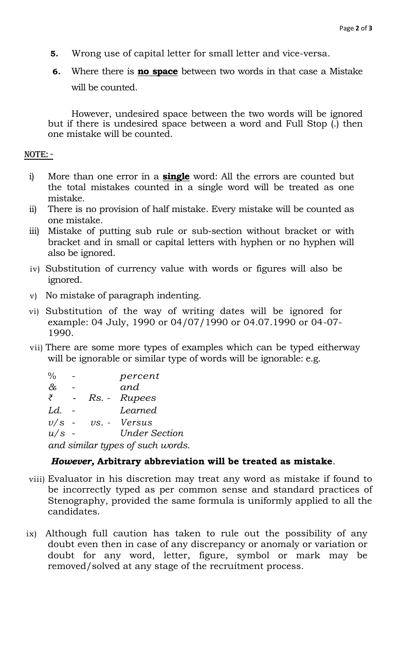- **5.** Wrong use of capital letter for small letter and vice-versa.
- **6.** Where there is **no space** between two words in that case a Mistake will be counted.

However, undesired space between the two words will be ignored but if there is undesired space between a word and Full Stop (.) then one mistake will be counted.

#### NOTE: -

- i) More than one error in a **single** word: All the errors are counted but the total mistakes counted in a single word will be treated as one mistake.
- ii) There is no provision of half mistake. Every mistake will be counted as one mistake.
- iii) Mistake of putting sub rule or sub-section without bracket or with bracket and in small or capital letters with hyphen or no hyphen will also be ignored.
- iv) Substitution of currency value with words or figures will also be ignored.
- v) No mistake of paragraph indenting.
- vi) Substitution of the way of writing dates will be ignored for example: 04 July, 1990 or 04/07/1990 or 04.07.1990 or 04-07- 1990.
- vii) There are some more types of examples which can be typed eitherway will be ignorable or similar type of words will be ignorable: e.g.

| %                                |  |  | percent              |
|----------------------------------|--|--|----------------------|
| $\&$                             |  |  | and                  |
| ₹                                |  |  | Rs. - Rupees         |
| Ld.                              |  |  | Learned              |
| $v/s$ -                          |  |  | $vs. - Versus$       |
| $u/s$ -                          |  |  | <b>Under Section</b> |
| and similar types of such words. |  |  |                      |

## *However,* **Arbitrary abbreviation will be treated as mistake**.

- viii) Evaluator in his discretion may treat any word as mistake if found to be incorrectly typed as per common sense and standard practices of Stenography, provided the same formula is uniformly applied to all the candidates.
- ix) Although full caution has taken to rule out the possibility of any doubt even then in case of any discrepancy or anomaly or variation or doubt for any word, letter, figure, symbol or mark may be removed/solved at any stage of the recruitment process.